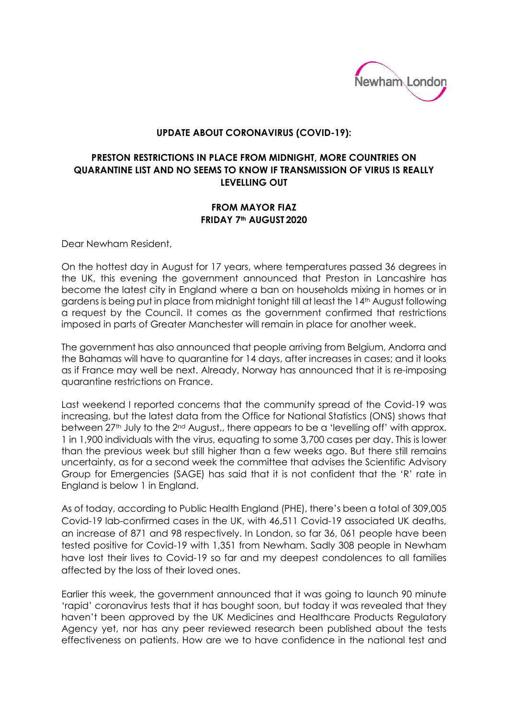

## **UPDATE ABOUT CORONAVIRUS (COVID-19):**

## **PRESTON RESTRICTIONS IN PLACE FROM MIDNIGHT, MORE COUNTRIES ON QUARANTINE LIST AND NO SEEMS TO KNOW IF TRANSMISSION OF VIRUS IS REALLY LEVELLING OUT**

## **FROM MAYOR FIAZ FRIDAY 7th AUGUST 2020**

Dear Newham Resident,

On the hottest day in August for 17 years, where temperatures passed 36 degrees in the UK, this evening the government announced that Preston in Lancashire has become the latest city in England where a ban on households mixing in homes or in gardens is being put in place from midnight tonight till at least the 14<sup>th</sup> August following a request by the Council. It comes as the government confirmed that restrictions imposed in parts of Greater Manchester will remain in place for another week.

The government has also announced that people arriving from Belgium, Andorra and the Bahamas will have to quarantine for 14 days, after increases in cases; and it looks as if France may well be next. Already, Norway has announced that it is re-imposing quarantine restrictions on France.

Last weekend I reported concerns that the community spread of the Covid-19 was increasing, but the latest data from the Office for National Statistics (ONS) shows that between  $27<sup>th</sup>$  July to the  $2<sup>nd</sup>$  August,, there appears to be a 'levelling off' with approx. 1 in 1,900 individuals with the virus, equating to some 3,700 cases per day. This is lower than the previous week but still higher than a few weeks ago. But there still remains uncertainty, as for a second week the committee that advises the Scientific Advisory Group for Emergencies (SAGE) has said that it is not confident that the 'R' rate in England is below 1 in England.

As of today, according to Public Health England (PHE), there's been a total of 309,005 Covid-19 lab-confirmed cases in the UK, with 46,511 Covid-19 associated UK deaths, an increase of 871 and 98 respectively. In London, so far 36, 061 people have been tested positive for Covid-19 with 1,351 from Newham. Sadly 308 people in Newham have lost their lives to Covid-19 so far and my deepest condolences to all families affected by the loss of their loved ones.

Earlier this week, the government announced that it was going to launch 90 minute 'rapid' coronavirus tests that it has bought soon, but today it was revealed that they haven't been approved by the UK Medicines and Healthcare Products Regulatory Agency yet, nor has any peer reviewed research been published about the tests effectiveness on patients. How are we to have confidence in the national test and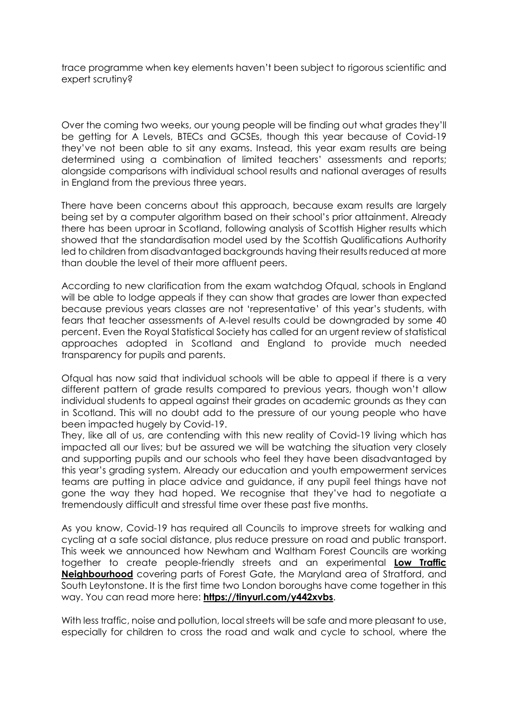trace programme when key elements haven't been subject to rigorous scientific and expert scrutiny?

Over the coming two weeks, our young people will be finding out what grades they'll be getting for A Levels, BTECs and GCSEs, though this year because of Covid-19 they've not been able to sit any exams. Instead, this year exam results are being determined using a combination of limited teachers' assessments and reports; alongside comparisons with individual school results and national averages of results in England from the previous three years.

There have been concerns about this approach, because exam results are largely being set by a computer algorithm based on their school's prior attainment. Already there has been uproar in Scotland, following analysis of Scottish Higher results which showed that the standardisation model used by the Scottish Qualifications Authority led to children from disadvantaged backgrounds having their results reduced at more than double the level of their more affluent peers.

According to new clarification from the exam watchdog Ofqual, schools in England will be able to lodge appeals if they can show that grades are lower than expected because previous years classes are not 'representative' of this year's students, with fears that teacher assessments of A-level results could be downgraded by some 40 percent. Even the Royal Statistical Society has called for an urgent review of statistical approaches adopted in Scotland and England to provide much needed transparency for pupils and parents.

Ofqual has now said that individual schools will be able to appeal if there is a very different pattern of grade results compared to previous years, though won't allow individual students to appeal against their grades on academic grounds as they can in Scotland. This will no doubt add to the pressure of our young people who have been impacted hugely by Covid-19.

They, like all of us, are contending with this new reality of Covid-19 living which has impacted all our lives; but be assured we will be watching the situation very closely and supporting pupils and our schools who feel they have been disadvantaged by this year's grading system. Already our education and youth empowerment services teams are putting in place advice and guidance, if any pupil feel things have not gone the way they had hoped. We recognise that they've had to negotiate a tremendously difficult and stressful time over these past five months.

As you know, Covid-19 has required all Councils to improve streets for walking and cycling at a safe social distance, plus reduce pressure on road and public transport. This week we announced how Newham and Waltham Forest Councils are working together to create people-friendly streets and an experimental **Low Traffic Neighbourhood** covering parts of Forest Gate, the Maryland area of Stratford, and South Leytonstone. It is the first time two London boroughs have come together in this way. You can read more here: **<https://tinyurl.com/y442xvbs>**.

With less traffic, noise and pollution, local streets will be safe and more pleasant to use, especially for children to cross the road and walk and cycle to school, where the